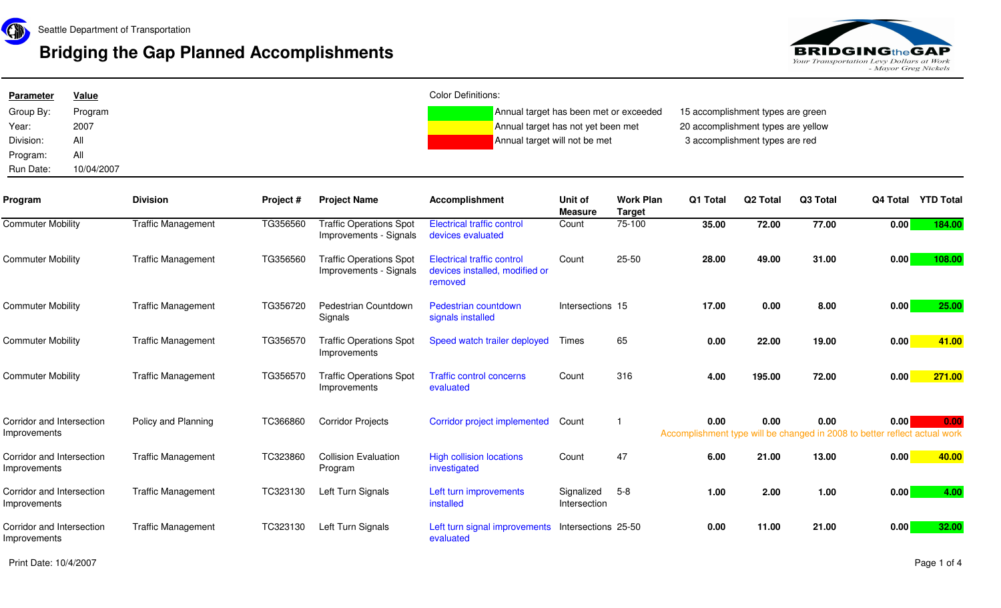

## **Bridging the Gap Planned Accomplishments**



| <b>Parameter</b><br>Group By:<br>Year:<br>Division:<br>Program:<br>Run Date: | <b>Value</b><br>Program<br>2007<br>All<br>All<br>10/04/2007 |                           |           |                                                          | <b>Color Definitions:</b><br>Annual target has been met or exceeded<br>Annual target has not yet been met<br>Annual target will not be met |                            |                                   | 15 accomplishment types are green<br>20 accomplishment types are yellow<br>3 accomplishment types are red |          |          |          |                             |
|------------------------------------------------------------------------------|-------------------------------------------------------------|---------------------------|-----------|----------------------------------------------------------|--------------------------------------------------------------------------------------------------------------------------------------------|----------------------------|-----------------------------------|-----------------------------------------------------------------------------------------------------------|----------|----------|----------|-----------------------------|
| Program                                                                      |                                                             | <b>Division</b>           | Project # | <b>Project Name</b>                                      | <b>Accomplishment</b>                                                                                                                      | Unit of<br><b>Measure</b>  | <b>Work Plan</b><br><b>Target</b> | Q1 Total                                                                                                  | Q2 Total | Q3 Total | Q4 Total | <b>YTD Total</b>            |
| <b>Commuter Mobility</b>                                                     |                                                             | <b>Traffic Management</b> | TG356560  | <b>Traffic Operations Spot</b><br>Improvements - Signals | <b>Electrical traffic control</b><br>devices evaluated                                                                                     | Count                      | 75-100                            | 35.00                                                                                                     | 72.00    | 77.00    | 0.00     | 184.00                      |
| <b>Commuter Mobility</b>                                                     |                                                             | <b>Traffic Management</b> | TG356560  | <b>Traffic Operations Spot</b><br>Improvements - Signals | <b>Electrical traffic control</b><br>devices installed, modified or<br>removed                                                             | Count                      | 25-50                             | 28.00                                                                                                     | 49.00    | 31.00    | 0.00     | 108.00                      |
| <b>Commuter Mobility</b>                                                     |                                                             | <b>Traffic Management</b> | TG356720  | Pedestrian Countdown<br>Signals                          | Pedestrian countdown<br>signals installed                                                                                                  | Intersections 15           |                                   | 17.00                                                                                                     | 0.00     | 8.00     | 0.00     | 25.00                       |
| <b>Commuter Mobility</b>                                                     |                                                             | <b>Traffic Management</b> | TG356570  | <b>Traffic Operations Spot</b><br>Improvements           | Speed watch trailer deployed                                                                                                               | Times                      | 65                                | 0.00                                                                                                      | 22.00    | 19.00    | 0.00     | 41.00                       |
| <b>Commuter Mobility</b>                                                     |                                                             | <b>Traffic Management</b> | TG356570  | <b>Traffic Operations Spot</b><br>Improvements           | <b>Traffic control concerns</b><br>evaluated                                                                                               | Count                      | 316                               | 4.00                                                                                                      | 195.00   | 72.00    | 0.00     | 271.00                      |
| Corridor and Intersection<br>Improvements                                    |                                                             | Policy and Planning       | TC366860  | <b>Corridor Projects</b>                                 | Corridor project implemented                                                                                                               | Count                      | -1                                | 0.00<br>Accomplishment type will be changed in 2008 to better                                             | 0.00     | 0.00     | 0.00     | 0.00<br>reflect actual work |
| Corridor and Intersection<br>Improvements                                    |                                                             | <b>Traffic Management</b> | TC323860  | <b>Collision Evaluation</b><br>Program                   | <b>High collision locations</b><br>investigated                                                                                            | Count                      | 47                                | 6.00                                                                                                      | 21.00    | 13.00    | 0.00     | 40.00                       |
| Corridor and Intersection<br>Improvements                                    |                                                             | <b>Traffic Management</b> | TC323130  | Left Turn Signals                                        | Left turn improvements<br>installed                                                                                                        | Signalized<br>Intersection | $5 - 8$                           | 1.00                                                                                                      | 2.00     | 1.00     | 0.00     | 4.00                        |
| Corridor and Intersection<br>Improvements                                    |                                                             | <b>Traffic Management</b> | TC323130  | Left Turn Signals                                        | Left turn signal improvements<br>evaluated                                                                                                 | Intersections 25-50        |                                   | 0.00                                                                                                      | 11.00    | 21.00    | 0.00     | 32.00                       |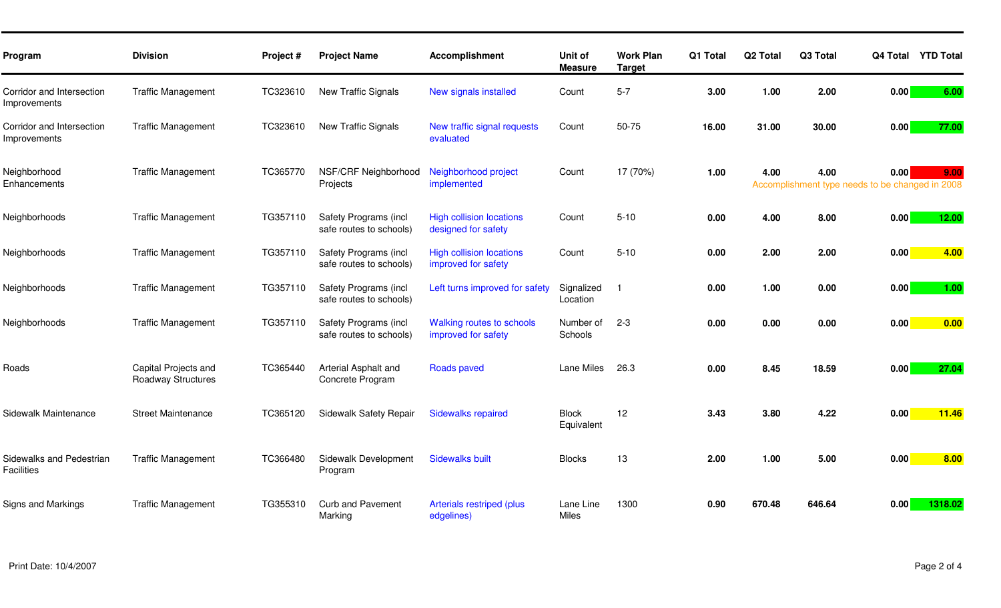| Program                                       | <b>Division</b>                            | Project # | <b>Project Name</b>                              | <b>Accomplishment</b>                                   | Unit of<br><b>Measure</b>  | <b>Work Plan</b><br><b>Target</b> | Q1 Total | Q <sub>2</sub> Total | Q3 Total |                                                         | Q4 Total YTD Total |
|-----------------------------------------------|--------------------------------------------|-----------|--------------------------------------------------|---------------------------------------------------------|----------------------------|-----------------------------------|----------|----------------------|----------|---------------------------------------------------------|--------------------|
| Corridor and Intersection<br>Improvements     | <b>Traffic Management</b>                  | TC323610  | New Traffic Signals                              | New signals installed                                   | Count                      | $5 - 7$                           | 3.00     | 1.00                 | 2.00     | 0.00                                                    | 6.00               |
| Corridor and Intersection<br>Improvements     | <b>Traffic Management</b>                  | TC323610  | New Traffic Signals                              | New traffic signal requests<br>evaluated                | Count                      | 50-75                             | 16.00    | 31.00                | 30.00    | 0.00                                                    | 77.00              |
| Neighborhood<br>Enhancements                  | <b>Traffic Management</b>                  | TC365770  | NSF/CRF Neighborhood<br>Projects                 | Neighborhood project<br>implemented                     | Count                      | 17 (70%)                          | 1.00     | 4.00                 | 4.00     | 0.00<br>Accomplishment type needs to be changed in 2008 | 9.00               |
| Neighborhoods                                 | <b>Traffic Management</b>                  | TG357110  | Safety Programs (incl<br>safe routes to schools) | <b>High collision locations</b><br>designed for safety  | Count                      | $5 - 10$                          | 0.00     | 4.00                 | 8.00     | 0.00                                                    | 12.00              |
| Neighborhoods                                 | <b>Traffic Management</b>                  | TG357110  | Safety Programs (incl<br>safe routes to schools) | <b>High collision locations</b><br>improved for safety  | Count                      | $5 - 10$                          | 0.00     | 2.00                 | 2.00     | 0.00                                                    | 4.00               |
| Neighborhoods                                 | <b>Traffic Management</b>                  | TG357110  | Safety Programs (incl<br>safe routes to schools) | Left turns improved for safety                          | Signalized<br>Location     | - 1                               | 0.00     | 1.00                 | 0.00     | 0.00                                                    | 1.00               |
| Neighborhoods                                 | <b>Traffic Management</b>                  | TG357110  | Safety Programs (incl<br>safe routes to schools) | <b>Walking routes to schools</b><br>improved for safety | Number of<br>Schools       | $2 - 3$                           | 0.00     | 0.00                 | 0.00     | 0.00                                                    | 0.00               |
| Roads                                         | Capital Projects and<br>Roadway Structures | TC365440  | Arterial Asphalt and<br>Concrete Program         | <b>Roads paved</b>                                      | Lane Miles                 | 26.3                              | 0.00     | 8.45                 | 18.59    | 0.00                                                    | 27.04              |
| Sidewalk Maintenance                          | <b>Street Maintenance</b>                  | TC365120  | Sidewalk Safety Repair                           | <b>Sidewalks repaired</b>                               | <b>Block</b><br>Equivalent | 12                                | 3.43     | 3.80                 | 4.22     | 0.00                                                    | 11.46              |
| Sidewalks and Pedestrian<br><b>Facilities</b> | <b>Traffic Management</b>                  | TC366480  | Sidewalk Development<br>Program                  | <b>Sidewalks built</b>                                  | <b>Blocks</b>              | 13                                | 2.00     | 1.00                 | 5.00     | 0.00                                                    | 8.00               |
| Signs and Markings                            | <b>Traffic Management</b>                  | TG355310  | <b>Curb and Pavement</b><br>Marking              | Arterials restriped (plus<br>edgelines)                 | Lane Line<br>Miles         | 1300                              | 0.90     | 670.48               | 646.64   | 0.00                                                    | 1318.02            |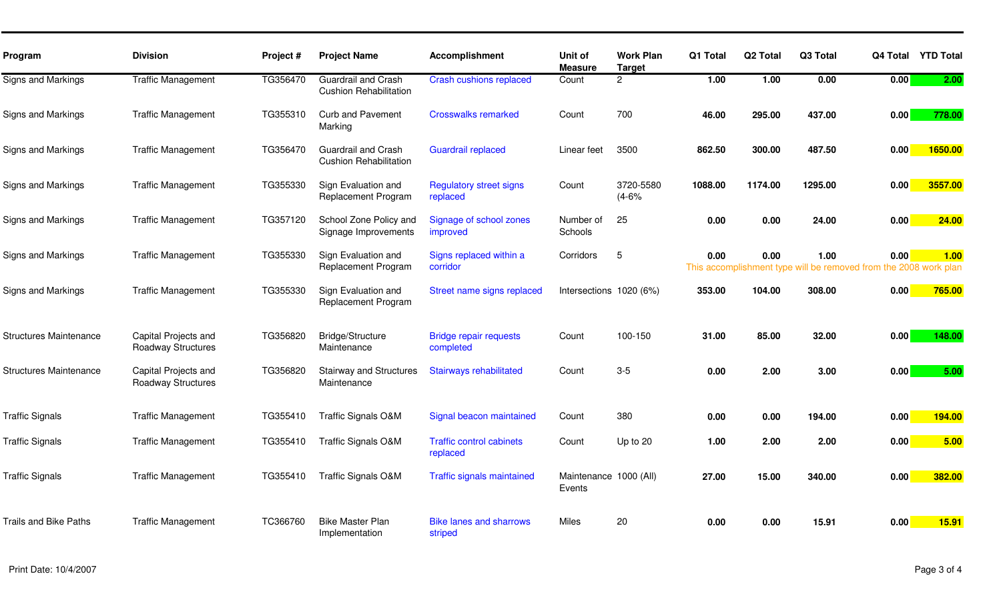| Program                       | <b>Division</b>                                   | Project # | <b>Project Name</b>                                         | <b>Accomplishment</b>                       | Unit of                          | <b>Work Plan</b>     | Q1 Total | Q <sub>2</sub> Total | Q3 Total                                              | Q4 Total          | <b>YTD Total</b>           |
|-------------------------------|---------------------------------------------------|-----------|-------------------------------------------------------------|---------------------------------------------|----------------------------------|----------------------|----------|----------------------|-------------------------------------------------------|-------------------|----------------------------|
|                               |                                                   |           |                                                             |                                             | <b>Measure</b>                   | <b>Target</b>        |          |                      |                                                       |                   |                            |
| Signs and Markings            | <b>Traffic Management</b>                         | TG356470  | <b>Guardrail and Crash</b><br><b>Cushion Rehabilitation</b> | <b>Crash cushions replaced</b>              | Count                            | $\overline{2}$       | 1.00     | 1.00                 | 0.00                                                  | $\overline{0.00}$ | 2.00                       |
| Signs and Markings            | <b>Traffic Management</b>                         | TG355310  | <b>Curb and Pavement</b><br>Marking                         | <b>Crosswalks remarked</b>                  | Count                            | 700                  | 46.00    | 295.00               | 437.00                                                | 0.00              | 778.00                     |
| Signs and Markings            | <b>Traffic Management</b>                         | TG356470  | <b>Guardrail and Crash</b><br><b>Cushion Rehabilitation</b> | <b>Guardrail replaced</b>                   | Linear feet                      | 3500                 | 862.50   | 300.00               | 487.50                                                | 0.00              | 1650.00                    |
| Signs and Markings            | <b>Traffic Management</b>                         | TG355330  | Sign Evaluation and<br>Replacement Program                  | <b>Regulatory street signs</b><br>replaced  | Count                            | 3720-5580<br>$(4-6%$ | 1088.00  | 1174.00              | 1295.00                                               | 0.00              | 3557.00                    |
| Signs and Markings            | <b>Traffic Management</b>                         | TG357120  | School Zone Policy and<br>Signage Improvements              | Signage of school zones<br>improved         | Number of<br>Schools             | 25                   | 0.00     | 0.00                 | 24.00                                                 | 0.00              | 24.00                      |
| Signs and Markings            | <b>Traffic Management</b>                         | TG355330  | Sign Evaluation and<br>Replacement Program                  | Signs replaced within a<br>corridor         | Corridors                        | 5                    | 0.00     | 0.00                 | 1.00<br>This accomplishment type will be removed from | 0.00              | 1.00<br>the 2008 work plan |
| Signs and Markings            | <b>Traffic Management</b>                         | TG355330  | Sign Evaluation and<br>Replacement Program                  | Street name signs replaced                  | Intersections 1020 (6%)          |                      | 353.00   | 104.00               | 308.00                                                | 0.00              | 765.00                     |
| <b>Structures Maintenance</b> | Capital Projects and<br><b>Roadway Structures</b> | TG356820  | Bridge/Structure<br>Maintenance                             | <b>Bridge repair requests</b><br>completed  | Count                            | 100-150              | 31.00    | 85.00                | 32.00                                                 | 0.00              | 148.00                     |
| <b>Structures Maintenance</b> | Capital Projects and<br>Roadway Structures        | TG356820  | <b>Stairway and Structures</b><br>Maintenance               | <b>Stairways rehabilitated</b>              | Count                            | $3 - 5$              | 0.00     | 2.00                 | 3.00                                                  | 0.00              | 5.00                       |
| <b>Traffic Signals</b>        | <b>Traffic Management</b>                         | TG355410  | <b>Traffic Signals O&amp;M</b>                              | Signal beacon maintained                    | Count                            | 380                  | 0.00     | 0.00                 | 194.00                                                | 0.00              | 194.00                     |
| <b>Traffic Signals</b>        | <b>Traffic Management</b>                         | TG355410  | <b>Traffic Signals O&amp;M</b>                              | <b>Traffic control cabinets</b><br>replaced | Count                            | Up to 20             | 1.00     | 2.00                 | 2.00                                                  | 0.00              | 5.00                       |
| <b>Traffic Signals</b>        | <b>Traffic Management</b>                         | TG355410  | <b>Traffic Signals O&amp;M</b>                              | <b>Traffic signals maintained</b>           | Maintenance 1000 (All)<br>Events |                      | 27.00    | 15.00                | 340.00                                                | 0.00              | 382.00                     |
| <b>Trails and Bike Paths</b>  | <b>Traffic Management</b>                         | TC366760  | <b>Bike Master Plan</b><br>Implementation                   | <b>Bike lanes and sharrows</b><br>striped   | <b>Miles</b>                     | 20                   | 0.00     | 0.00                 | 15.91                                                 | 0.00              | 15.91                      |